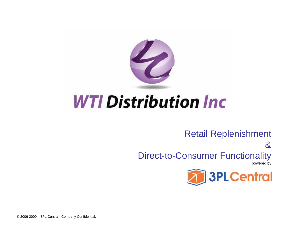

# **WTI Distribution Inc.**

#### Retail Replenishment

& Direct-to-Consumer Functionality

powered by

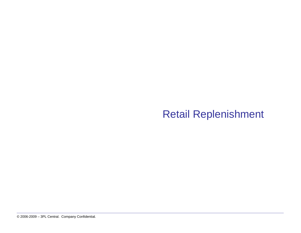#### Retail Replenishment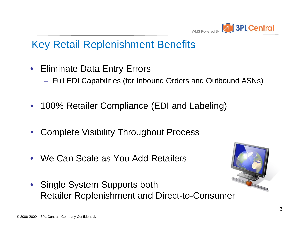

### Key Retail Replenishment Benefits

- Eliminate Data Entry Errors
	- Full EDI Capabilities (for Inbound Orders and Outbound ASNs)
- 100% Retailer Compliance (EDI and Labeling)
- Complete Visibility Throughout Process
- We Can Scale as You Add Retailers
- Single System Supports both Retailer Replenishment and Direct-to-Consumer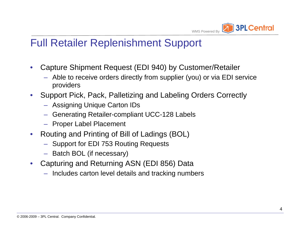

#### Full Retailer Replenishment Support

- Capture Shipment Request (EDI 940) by Customer/Retailer
	- Able to receive orders directly from supplier (you) or via EDI service providers
- Support Pick, Pack, Palletizing and Labeling Orders Correctly
	- Assigning Unique Carton IDs
	- Generating Retailer-compliant UCC-128 Labels
	- Proper Label Placement
- Routing and Printing of Bill of Ladings (BOL)
	- Support for EDI 753 Routing Requests
	- Batch BOL (if necessary)
- Capturing and Returning ASN (EDI 856) Data
	- Includes carton level details and tracking numbers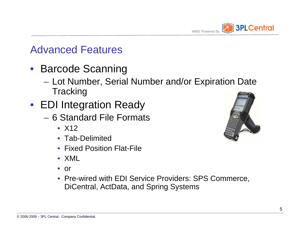

#### Advanced Features

- Barcode Scanning
	- Lot Number, Serial Number and/or Expiration Date **Tracking**
- EDI Integration Ready
	- 6 Standard File Formats
		- X12
		- Tab-Delimited
		- Fixed Position Flat-File
		- XML
		- or
		- Pre-wired with EDI Service Providers: SPS Commerce, DiCentral, ActData, and Spring Systems

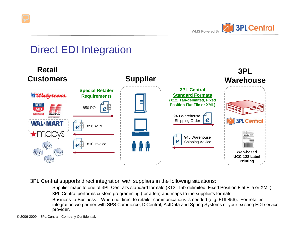

## Direct EDI Integration



3PL Central supports direct integration with suppliers in the following situations:

- Supplier maps to one of 3PL Central's standard formats (X12, Tab-delimited, Fixed Position Flat File or XML)
- 3PL Central performs custom programming (for a fee) and maps to the supplier's formats
- Business-to-Business When no direct to retailer communications is needed (e.g. EDI 856). For retailer integration we partner with SPS Commerce, DiCentral, ActData and Spring Systems or your existing EDI service provider.

© 2006-2009 – 3PL Central. Company Confidential.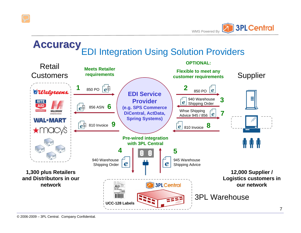

#### EDI Integration Using Solution Providers **Accuracy Accuracy**

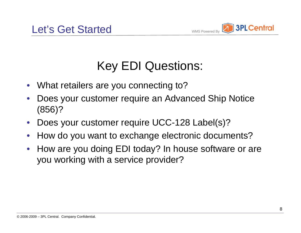

# Key EDI Questions:

- What retailers are you connecting to?
- Does your customer require an Advanced Ship Notice (856)?
- Does your customer require UCC-128 Label(s)?
- How do you want to exchange electronic documents?
- How are you doing EDI today? In house software or are you working with a service provider?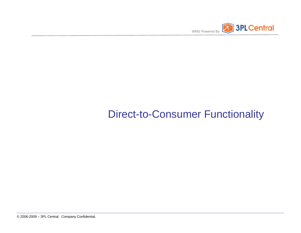

## Direct-to-Consumer Functionality

© 2006-2009 – 3PL Central. Company Confidential.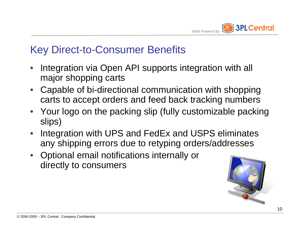

#### Key Direct-to-Consumer Benefits

- Integration via Open API supports integration with all major shopping carts
- Capable of bi-directional communication with shopping carts to accept orders and feed back tracking numbers
- Your logo on the packing slip (fully customizable packing slips)
- Integration with UPS and FedEx and USPS eliminates any shipping errors due to retyping orders/addresses
- Optional email notifications internally or directly to consumers

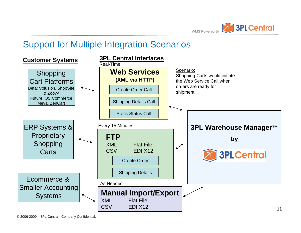

#### Support for Multiple Integration Scenarios

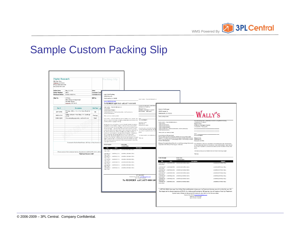

### Sample Custom Packing Slip

| Master Research<br>456 Main Way<br>Studeway, AZ 94125<br>Phone (635) 555-5555<br>Fax (635) 555-1234 |                                                                          |                      | 'acking Slip                                                                                                                                                                       |                                                                                                                                                 |                                                                                                                                                                                                                                                                                                 |                                                                                                                                                                                                               |
|-----------------------------------------------------------------------------------------------------|--------------------------------------------------------------------------|----------------------|------------------------------------------------------------------------------------------------------------------------------------------------------------------------------------|-------------------------------------------------------------------------------------------------------------------------------------------------|-------------------------------------------------------------------------------------------------------------------------------------------------------------------------------------------------------------------------------------------------------------------------------------------------|---------------------------------------------------------------------------------------------------------------------------------------------------------------------------------------------------------------|
| Order Dates                                                                                         | May 14, 2010                                                             | Date:                |                                                                                                                                                                                    |                                                                                                                                                 |                                                                                                                                                                                                                                                                                                 |                                                                                                                                                                                                               |
| <b>Order Number:</b>                                                                                | 34567                                                                    | <b>Customer Cont</b> |                                                                                                                                                                                    |                                                                                                                                                 |                                                                                                                                                                                                                                                                                                 |                                                                                                                                                                                                               |
|                                                                                                     | Purchase Order: PO3421-90837-01                                          | <b>Customer Acco</b> | <b>Light Stick Trading</b><br>20828 Main St                                                                                                                                        |                                                                                                                                                 |                                                                                                                                                                                                                                                                                                 |                                                                                                                                                                                                               |
| Ship To:                                                                                            | XYZ, Inc.                                                                | <b>Bill To:</b>      | Chatsworth, CA. 96655                                                                                                                                                              |                                                                                                                                                 |                                                                                                                                                                                                                                                                                                 |                                                                                                                                                                                                               |
|                                                                                                     | Attn: Research Department                                                |                      |                                                                                                                                                                                    | Order Number: «Trenslints, Reference Num-                                                                                                       |                                                                                                                                                                                                                                                                                                 |                                                                                                                                                                                                               |
|                                                                                                     | 789 Main Street                                                          |                      | www.lightsticks.com                                                                                                                                                                |                                                                                                                                                 |                                                                                                                                                                                                                                                                                                 |                                                                                                                                                                                                               |
|                                                                                                     | Andown, MN 98015                                                         |                      | To REORDER Light Stick call 1-877-444-5445                                                                                                                                         |                                                                                                                                                 |                                                                                                                                                                                                                                                                                                 |                                                                                                                                                                                                               |
|                                                                                                     |                                                                          |                      | Onter Number: «Transinto. ReferenceN um»                                                                                                                                           | flyou are making a return, please take a<br>a Replacement or a Refund                                                                           |                                                                                                                                                                                                                                                                                                 |                                                                                                                                                                                                               |
| Part #                                                                                              | <b>Description</b>                                                       | <b>Unit Type</b>     | -ShipTo.Name -                                                                                                                                                                     | Reason for return                                                                                                                               | Wally's Fulfillment                                                                                                                                                                                                                                                                             |                                                                                                                                                                                                               |
|                                                                                                     | 'D' rings, 3/4 in., 1 in., 2 in. (two of each in                         |                      | ChisTo.Add rest Add rest 1.<br>ShipTo.Add rest Add ress2                                                                                                                           | a Defective a Demoged in Shipment<br>a Not satisfied Please specify:                                                                            | 20828 Lassen St.                                                                                                                                                                                                                                                                                |                                                                                                                                                                                                               |
| 23A7-D892                                                                                           | set)                                                                     | Set                  | ShipTo.Address.City  -ShipTo.Address.State . - ShipTo.Address.Zip<br>ShipTo Address Country -                                                                                      |                                                                                                                                                 | Chatsworth, CA, 91311                                                                                                                                                                                                                                                                           |                                                                                                                                                                                                               |
| 390D 1-J349                                                                                         | Wafers, silicone - steel blue, 6 in. (package                            | Package              | The nit you for your recent purchase!                                                                                                                                              |                                                                                                                                                 |                                                                                                                                                                                                                                                                                                 |                                                                                                                                                                                                               |
|                                                                                                     | of 12)                                                                   | Each                 |                                                                                                                                                                                    |                                                                                                                                                 | www.wallys.com                                                                                                                                                                                                                                                                                  |                                                                                                                                                                                                               |
| 208R4-Q289                                                                                          | Core extruding apparatus, sediment corer                                 |                      | Returns Policy. I understand that if I am not fully satisfied with my products I may Other:<br>return my product within 80 days of original purchase date for a full refund of the | Mail the package to:                                                                                                                            |                                                                                                                                                                                                                                                                                                 |                                                                                                                                                                                                               |
|                                                                                                     |                                                                          |                      | purchase price less shipping and handling.                                                                                                                                         | Light Stick Trading                                                                                                                             | Order Number: «Transinfo.ReferenceNum                                                                                                                                                                                                                                                           | If you are making a return, please take a moment to complete the following:<br>c Replacement or c Refund                                                                                                      |
|                                                                                                     |                                                                          |                      | Membership Terms and Conditions: If I enroll in the refill membership program I                                                                                                    | 20828 Main 51                                                                                                                                   | <shipto.name></shipto.name>                                                                                                                                                                                                                                                                     | Reason for return                                                                                                                                                                                             |
|                                                                                                     |                                                                          |                      | a magnesing to be automatically charged my credit cand every 30 days \$44.99 +                                                                                                     | Chatsworth, CA. 96655                                                                                                                           | «ShipTo.CompanyName»<br>"ShinTo Address Addressi»                                                                                                                                                                                                                                               | o Defective o Damaged in Shipment<br>a Not satisfied Please specify                                                                                                                                           |
|                                                                                                     |                                                                          |                      | 20 3 3 2 2 M for a 6 packs of 3 refill cartridges or 229 3 3 plus 2 8 3 3 2 2 M for 8 packs<br>of 5 refill contridees. I understand that I can cancel future shipments by calline  | If you have paid by credit cant, the charge                                                                                                     | «ShipTo.Address.Address2»<br>«ShipTo.Address.City», «ShipTo.Address.State» «ShipTo.Address.Zip»                                                                                                                                                                                                 |                                                                                                                                                                                                               |
|                                                                                                     |                                                                          |                      | customer service and returning any sealed unused Product to our warehouse. We                                                                                                      | will tale place 80 days after the initial pa<br>your privacy is important to us and we                                                          | «ShipTo.Address.Country»                                                                                                                                                                                                                                                                        |                                                                                                                                                                                                               |
|                                                                                                     |                                                                          |                      | are urable to refund on any opened or damaged product Refilishionents will<br>continue until licelli to cence I my Membership at 1477-948-9507 M-F Dam-6 pm                        | renties                                                                                                                                         | Thank you for your recent purchase!                                                                                                                                                                                                                                                             |                                                                                                                                                                                                               |
|                                                                                                     |                                                                          |                      | CST or by emailing as at support@knightsticks.com. By clicking to onter I                                                                                                          | We hope you enjoy your purchase and                                                                                                             | Our products are 100% guaranteed.                                                                                                                                                                                                                                                               | Other:<br>Mail the package to:                                                                                                                                                                                |
|                                                                                                     |                                                                          |                      | represent that I have read and agree to the Privacy Policy and full Terms and<br>Conditions of this offers nd I understand that this consumer the reaction involves a Thank you    |                                                                                                                                                 | If for any reason you are not completely satisfied with your purchase, please                                                                                                                                                                                                                   | Hellywood Labs                                                                                                                                                                                                |
|                                                                                                     |                                                                          |                      | negative outlon and that I will be lie ble for payine nt of product that was chipped                                                                                               |                                                                                                                                                 | replace it in its original shipping carton and packaging material, along with a copy<br>of this invoice, and return it - insured postage prepaid - within 30 days of receipt 20828 Lassen St.                                                                                                   |                                                                                                                                                                                                               |
|                                                                                                     | Comments: Backordered items will ship as they become as                  |                      | to me, and future shipments of product. if I fail to notify customer service to stop<br>supplying the product to me.                                                               |                                                                                                                                                 | for a full refund (less s&h).                                                                                                                                                                                                                                                                   | Chatsworth, CA. 91311                                                                                                                                                                                         |
|                                                                                                     |                                                                          |                      | Order Receipt<br>Order Date:<br>«CreationDate»<br>nam<br>Description<br>Qι<br>corde rite m'Ol: he mDes cription<br>onterits millip<br>«Orde rite m131⊆KU»                          | Hollywood Prescription Return Policy: Our normal 30 day exchange/refund policy<br>is applicable within 30 days of receiving your initial order. | If you have paid by credit card, the charge will show as Hollywood Labs. Multi-payments<br>will take place \$0 days after the initial payment, unless otherwise stated. Please note that<br>your privacy is important to us and we do not share customer information with any other<br>parties. |                                                                                                                                                                                                               |
|                                                                                                     | Please contact the Customer Service department at (653) 555-1234 with an |                      | ring rule/Oby                                                                                                                                                                      |                                                                                                                                                 |                                                                                                                                                                                                                                                                                                 | We hope you enjoy your purchase and we look forward to serving you again.                                                                                                                                     |
|                                                                                                     | Thank you for your order!                                                |                      | contente m'119 contente m'1] SKU- contente m'1]: itemDes criptions                                                                                                                 |                                                                                                                                                 |                                                                                                                                                                                                                                                                                                 | Thank you                                                                                                                                                                                                     |
|                                                                                                     |                                                                          |                      | cine retractors.<br>«onte rite m215 KU» conte rite m21:tte mDes cription»<br>contents m21P                                                                                         |                                                                                                                                                 |                                                                                                                                                                                                                                                                                                 |                                                                                                                                                                                                               |
|                                                                                                     |                                                                          |                      | cine retruces.<br>conteritem@j# conteritem@jdKU. conteritem(4):itemDescription.                                                                                                    |                                                                                                                                                 | <b>Order Receipt</b><br>Order Date:                                                                                                                                                                                                                                                             |                                                                                                                                                                                                               |
|                                                                                                     |                                                                          |                      | rinary Invogy»                                                                                                                                                                     |                                                                                                                                                 | «CreationDate»<br>Qty<br>tem                                                                                                                                                                                                                                                                    | Description<br>Shipped                                                                                                                                                                                        |
|                                                                                                     |                                                                          |                      | «onte rite m[4] S KU» conte rite m[4]: te mDes cription»<br>contente m(4) P<br>rimary InvOby =                                                                                     |                                                                                                                                                 | «orderitem(0):P «orderitem(0):SKU» «orderitem(0):ItemDescription»                                                                                                                                                                                                                               | «orderitem[0]:PrimarylnvQty»                                                                                                                                                                                  |
|                                                                                                     |                                                                          |                      | party rise with the content for middle KU- content for middler mDescriptions                                                                                                       |                                                                                                                                                 | rimarylnvQty»                                                                                                                                                                                                                                                                                   |                                                                                                                                                                                                               |
|                                                                                                     |                                                                          |                      | ring reinväter<br>.coderitem(6):P - - onteritem(6):SKU- - - onteritem(6): hemDes cription-                                                                                         |                                                                                                                                                 | rimaryinvQty»                                                                                                                                                                                                                                                                                   | =orderitem(0):PrimaryInvQty=                                                                                                                                                                                  |
|                                                                                                     |                                                                          |                      | rima ry InvOtry                                                                                                                                                                    |                                                                                                                                                 |                                                                                                                                                                                                                                                                                                 | «orderitem(0):PrimarvinvOtv»                                                                                                                                                                                  |
|                                                                                                     |                                                                          |                      |                                                                                                                                                                                    |                                                                                                                                                 | rimervinvQtv»<br>«orderitem(3):P<br>«orderitem[3]:SKU» «orderitem[3]:ItemDescription»                                                                                                                                                                                                           | «orderitem(0):PrimarvinvQtv»                                                                                                                                                                                  |
|                                                                                                     |                                                                          |                      |                                                                                                                                                                                    | 877-343-9587                                                                                                                                    | rimarylnvQty»                                                                                                                                                                                                                                                                                   |                                                                                                                                                                                                               |
|                                                                                                     |                                                                          |                      |                                                                                                                                                                                    | Customer Service Email: support@knightsticks.com                                                                                                | rimervinvOtv»                                                                                                                                                                                                                                                                                   | «orderitem(0):PrimaryInvQty»                                                                                                                                                                                  |
|                                                                                                     |                                                                          |                      |                                                                                                                                                                                    | Mon-Fridam-6 pm CST                                                                                                                             | «orderitem[3]:P «orderitem[3]:SKU» «orderitem[3]:ItemDescription»                                                                                                                                                                                                                               | «orderitem(0):PrimarvinvQtv»                                                                                                                                                                                  |
|                                                                                                     |                                                                          |                      |                                                                                                                                                                                    | To REORDER call 1-877-444-544                                                                                                                   | rimarylnvQty»                                                                                                                                                                                                                                                                                   | «ordentem(0):PrimarylnvQty»                                                                                                                                                                                   |
|                                                                                                     |                                                                          |                      |                                                                                                                                                                                    |                                                                                                                                                 | rimarylnvQty»                                                                                                                                                                                                                                                                                   |                                                                                                                                                                                                               |
|                                                                                                     |                                                                          |                      |                                                                                                                                                                                    |                                                                                                                                                 |                                                                                                                                                                                                                                                                                                 |                                                                                                                                                                                                               |
|                                                                                                     |                                                                          |                      |                                                                                                                                                                                    |                                                                                                                                                 |                                                                                                                                                                                                                                                                                                 |                                                                                                                                                                                                               |
|                                                                                                     |                                                                          |                      |                                                                                                                                                                                    |                                                                                                                                                 |                                                                                                                                                                                                                                                                                                 | 1-877-844-3510. Start your free 14-Day Trial and if decide to keep your Lip-Treatment System, you will be billed for your 30-                                                                                 |
|                                                                                                     |                                                                          |                      |                                                                                                                                                                                    |                                                                                                                                                 |                                                                                                                                                                                                                                                                                                 | Day Supply at the discounted price of \$78.72, As a Hollywood Prescription VIP member you will receive a fresh Lip-Treatment<br>System every 30 days at the same 43% discount, plus D&H on ALL future orders. |
|                                                                                                     |                                                                          |                      |                                                                                                                                                                                    |                                                                                                                                                 |                                                                                                                                                                                                                                                                                                 |                                                                                                                                                                                                               |
|                                                                                                     |                                                                          |                      |                                                                                                                                                                                    |                                                                                                                                                 |                                                                                                                                                                                                                                                                                                 | Customer ServiceEmail: CustomerService@wallys.com                                                                                                                                                             |
|                                                                                                     |                                                                          |                      |                                                                                                                                                                                    |                                                                                                                                                 |                                                                                                                                                                                                                                                                                                 | Telephone: 1-877-844-3510                                                                                                                                                                                     |
|                                                                                                     |                                                                          |                      |                                                                                                                                                                                    |                                                                                                                                                 |                                                                                                                                                                                                                                                                                                 | Mon-Fri 9 am - 5 pm EST                                                                                                                                                                                       |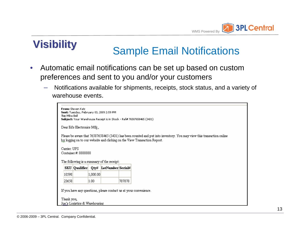

# **Visibility Sample Email Notifications**

- Automatic email notifications can be set up based on custom preferences and sent to you and/or your customers
	- Notifications available for shipments, receipts, stock status, and a variety of warehouse events.

| To: Mike Bell<br>Subject: Your Warehouse Receipt is in Stock - Ref# 76587658465 (3431).<br>Dear Ed's Electronics Mfg.,<br>Please be aware that 76587658465 (3431) has been counted and put into inventory. You may view this transaction online<br>by logging on to our website and clicking on the View Transaction Report.<br>Camer: UPS<br>Container #: 8888888<br>The following is a summary of the receipt:<br>SKU   Qualifier   Qty#   LotNumber Serial# | From: Steven Katz<br>Sent: Tuesday, February 03, 2009 2:59 PM |  |  |
|----------------------------------------------------------------------------------------------------------------------------------------------------------------------------------------------------------------------------------------------------------------------------------------------------------------------------------------------------------------------------------------------------------------------------------------------------------------|---------------------------------------------------------------|--|--|
|                                                                                                                                                                                                                                                                                                                                                                                                                                                                |                                                               |  |  |
|                                                                                                                                                                                                                                                                                                                                                                                                                                                                |                                                               |  |  |
|                                                                                                                                                                                                                                                                                                                                                                                                                                                                |                                                               |  |  |
|                                                                                                                                                                                                                                                                                                                                                                                                                                                                |                                                               |  |  |
|                                                                                                                                                                                                                                                                                                                                                                                                                                                                |                                                               |  |  |
|                                                                                                                                                                                                                                                                                                                                                                                                                                                                |                                                               |  |  |
|                                                                                                                                                                                                                                                                                                                                                                                                                                                                |                                                               |  |  |
|                                                                                                                                                                                                                                                                                                                                                                                                                                                                |                                                               |  |  |
|                                                                                                                                                                                                                                                                                                                                                                                                                                                                |                                                               |  |  |
|                                                                                                                                                                                                                                                                                                                                                                                                                                                                |                                                               |  |  |
|                                                                                                                                                                                                                                                                                                                                                                                                                                                                |                                                               |  |  |
| 10598<br>1,000.00                                                                                                                                                                                                                                                                                                                                                                                                                                              |                                                               |  |  |
| 23658<br>787878                                                                                                                                                                                                                                                                                                                                                                                                                                                |                                                               |  |  |
|                                                                                                                                                                                                                                                                                                                                                                                                                                                                | 1.00                                                          |  |  |